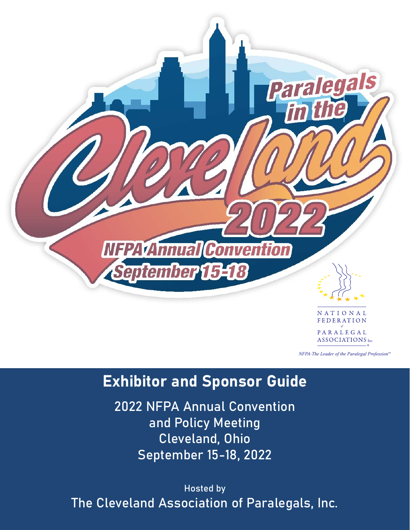

NFPA-The Leader of the Paralegal Profession<sup>76</sup>

# Exhibitor and Sponsor Guide

2022 NFPA Annual Convention and Policy Meeting Cleveland, Ohio September 15-18, 2022

Hosted by The Cleveland Association of Paralegals, Inc.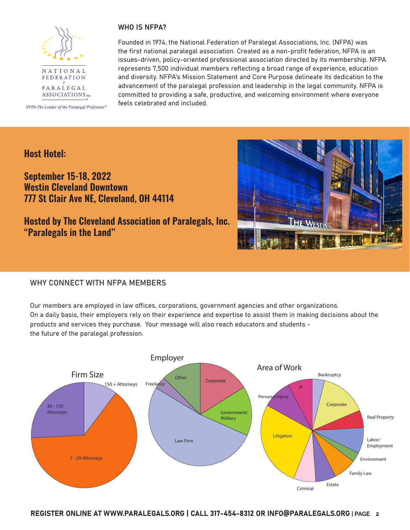

NFPA-The Leader of the Paralegal Profession<sup>®</sup>

### WHO IS NFPA?

Founded in 1974, the National Federation of Paralegal Associations, Inc. (NFPA) was the first national paralegal association. Created as a non-profit federation, NFPA is an issues-driven, policy-oriented professional association directed by its membership. NFPA represents 7,500 individual members reflecting a broad range of experience, education and diversity. NFPA's Mission Statement and Core Purpose delineate its dedication to the advancement of the paralegal profession and leadership in the legal community. NFPA is committed to providing a safe, productive, and welcoming environment where everyone feels celebrated and included.

# **Host Hotel:**

# **September 15-18, 2022 Westin Cleveland Downtown 777 St Clair Ave NE, Cleveland, OH 44114**

# **Hosted by The Cleveland Association of Paralegals, Inc. "Paralegals in the Land"**



## WHY CONNECT WITH NFPA MEMBERS

Our members are employed in law offices, corporations, government agencies and other organizations. On a daily basis, their employers rely on their experience and expertise to assist them in making decisions about the products and services they purchase. Your message will also reach educators and students the future of the paralegal profession.

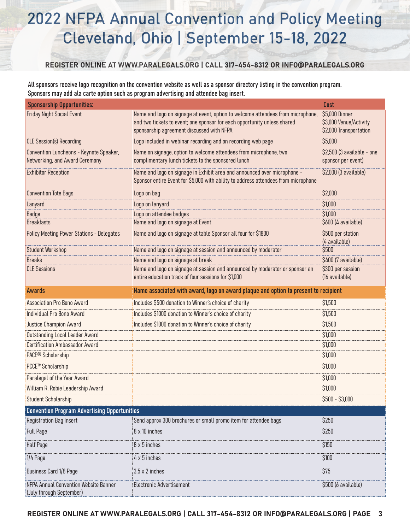# 2022 NFPA Annual Convention and Policy Meeting Cleveland, Ohio | September 15-18, 2022

### REGISTER ONLINE AT WWW.PARALEGALS.ORG | CALL 317-454-8312 OR INFO@PARALEGALS.ORG

All sponsors receive logo recognition on the convention website as well as a sponsor directory listing in the convention program. Sponsors may add ala carte option such as program advertising and attendee bag insert.

| <b>Sponsorship Opportunities:</b>                                         |                                                                                                                                                                                                          | Cost                                                               |
|---------------------------------------------------------------------------|----------------------------------------------------------------------------------------------------------------------------------------------------------------------------------------------------------|--------------------------------------------------------------------|
| <b>Friday Night Social Event</b>                                          | Name and logo on signage at event, option to welcome attendees from microphone,<br>and two tickets to event; one sponsor for each opportunity unless shared<br>sponsorship agreement discussed with NFPA | \$5,000 Dinner<br>\$3,000 Venue/Activity<br>\$2,000 Transportation |
| <b>CLE Session(s) Recording</b>                                           | Logo included in webinar recording and on recording web page                                                                                                                                             | \$5,000                                                            |
| Convention Luncheons - Keynote Speaker,<br>Networking, and Award Ceremony | Name on signage, option to welcome attendees from microphone, two<br>complimentary lunch tickets to the sponsored lunch                                                                                  | \$2,500 (3 available - one<br>sponsor per event)                   |
| <b>Exhibitor Reception</b>                                                | Name and logo on signage in Exhibit area and announced over microphone -<br>Sponsor entire Event for \$5,000 with ability to address attendees from microphone                                           | \$2,000 (3 available)                                              |
| <b>Convention Tote Bags</b>                                               | Logo on bag                                                                                                                                                                                              | \$2,000                                                            |
| Lanyard                                                                   | Logo on lanyard                                                                                                                                                                                          | \$1,000                                                            |
| <b>Badge</b>                                                              | Logo on attendee badges                                                                                                                                                                                  | \$1,000                                                            |
| <b>Breakfasts</b>                                                         | Name and logo on signage at Event                                                                                                                                                                        | \$600 (4 available)                                                |
| <b>Policy Meeting Power Stations - Delegates</b>                          | Name and logo on signage at table Sponsor all four for \$1800                                                                                                                                            | \$500 per station<br>(4 available)                                 |
| <b>Student Workshop</b>                                                   | Name and logo on signage at session and announced by moderator                                                                                                                                           | \$500                                                              |
| <b>Breaks</b>                                                             | Name and logo on signage at break                                                                                                                                                                        | \$400 (7 available)                                                |
| <b>CLE Sessions</b>                                                       | Name and logo on signage at session and announced by moderator or sponsor an<br>entire education track of four sessions for \$1,000                                                                      | \$300 per session<br>(16 available)                                |
| <b>Awards</b>                                                             | Name associated with award, logo on award plaque and option to present to recipient                                                                                                                      |                                                                    |
| <b>Association Pro Bono Award</b>                                         | Includes \$500 donation to Winner's choice of charity                                                                                                                                                    | \$1,500                                                            |
| Individual Pro Bono Award                                                 | Includes \$1000 donation to Winner's choice of charity                                                                                                                                                   | \$1,500                                                            |
| <b>Justice Champion Award</b>                                             | Includes \$1000 donation to Winner's choice of charity                                                                                                                                                   | \$1,500                                                            |
| <b>Outstanding Local Leader Award</b>                                     |                                                                                                                                                                                                          | \$1,000                                                            |
| <b>Certification Ambassador Award</b>                                     |                                                                                                                                                                                                          | \$1,000                                                            |
| PACE <sup>®</sup> Scholarship                                             |                                                                                                                                                                                                          | \$1,000                                                            |
| PCCE™ Scholarship                                                         |                                                                                                                                                                                                          | \$1,000                                                            |
| Paralegal of the Year Award                                               |                                                                                                                                                                                                          | \$1,000                                                            |
| William R. Robie Leadership Award                                         |                                                                                                                                                                                                          | \$1,000                                                            |
| <b>Student Scholarship</b>                                                |                                                                                                                                                                                                          | \$500 - \$3,000                                                    |
| <b>Convention Program Advertising Opportunities</b>                       |                                                                                                                                                                                                          |                                                                    |
| <b>Registration Bag Insert</b>                                            | Send approx 300 brochures or small promo item for attendee bags                                                                                                                                          | \$250                                                              |
| Full Page                                                                 | 8 x 10 inches                                                                                                                                                                                            | \$250                                                              |
| <b>Half Page</b>                                                          | 8 x 5 inches                                                                                                                                                                                             | \$150                                                              |
| $1/4$ Page                                                                | $4 \times 5$ inches                                                                                                                                                                                      | \$100                                                              |
| <b>Business Card 1/8 Page</b>                                             | $3.5 \times 2$ inches                                                                                                                                                                                    | \$75                                                               |
| NFPA Annual Convention Website Banner<br>(July through September)         | <b>Electronic Advertisement</b>                                                                                                                                                                          | \$500 (6 available)                                                |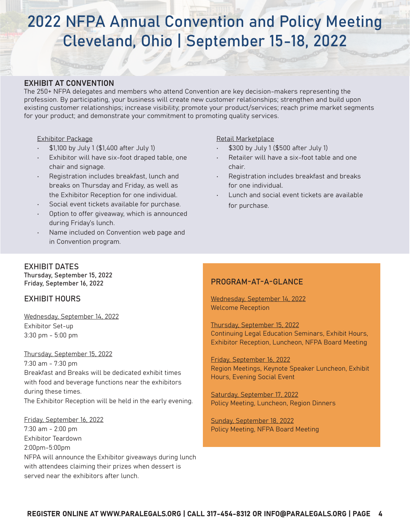# 2022 NFPA Annual Convention and Policy Meeting Cleveland, Ohio | September 15-18, 2022

## EXHIBIT AT CONVENTION

The 250+ NFPA delegates and members who attend Convention are key decision-makers representing the profession. By participating, your business will create new customer relationships; strengthen and build upon existing customer relationships; increase visibility; promote your product/services; reach prime market segments for your product; and demonstrate your commitment to promoting quality services.

#### Exhibitor Package

- \$1,100 by July 1 (\$1,400 after July 1)
- Exhibitor will have six-foot draped table, one chair and signage.
- Registration includes breakfast, lunch and breaks on Thursday and Friday, as well as the Exhibitor Reception for one individual.
- Social event tickets available for purchase.
- Option to offer giveaway, which is announced during Friday's lunch.
- Name included on Convention web page and in Convention program.

#### Retail Marketplace

- \$300 by July 1 (\$500 after July 1)
- Retailer will have a six-foot table and one chair.
- Registration includes breakfast and breaks for one individual.
- Lunch and social event tickets are available for purchase.

# EXHIBIT DATES

Thursday, September 15, 2022 Friday, September 16, 2022

## EXHIBIT HOURS

Wednesday, September 14, 2022 Exhibitor Set-up 3:30 pm - 5:00 pm

#### Thursday, September 15, 2022

7:30 am - 7:30 pm Breakfast and Breaks will be dedicated exhibit times with food and beverage functions near the exhibitors during these times. The Exhibitor Reception will be held in the early evening.

Friday, September 16, 2022 7:30 am - 2:00 pm Exhibitor Teardown 2:00pm-5:00pm NFPA will announce the Exhibitor giveaways during lunch with attendees claiming their prizes when dessert is served near the exhibitors after lunch.

## PROGRAM-AT-A-GLANCE

Wednesday, September 14, 2022 Welcome Reception

Thursday, September 15, 2022 Continuing Legal Education Seminars, Exhibit Hours, Exhibitor Reception, Luncheon, NFPA Board Meeting

Friday, September 16, 2022 Region Meetings, Keynote Speaker Luncheon, Exhibit Hours, Evening Social Event

Saturday, September 17, 2022 Policy Meeting, Luncheon, Region Dinners

Sunday, September 18, 2022 Policy Meeting, NFPA Board Meeting